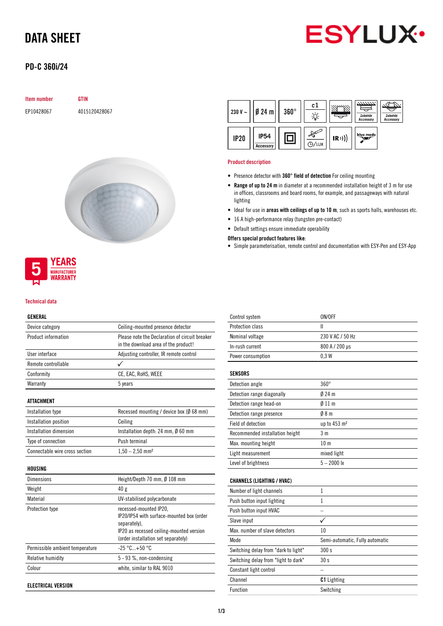# DATA SHEET



# PD-C 360i/24

# Item number GTIN

EP10428067 4015120428067



# WARRANTY

**YEARS MANUFACTURER** 

# Technical data

# GENERAL

| Device category                | Ceiling-mounted presence detector                                                      |  |
|--------------------------------|----------------------------------------------------------------------------------------|--|
| Product information            | Please note the Declaration of circuit breaker<br>in the download area of the product! |  |
| User interface                 | Adjusting controller, IR remote control                                                |  |
| Remote controllable            |                                                                                        |  |
| Conformity                     | CE, EAC, RoHS, WEEE                                                                    |  |
| Warranty                       | 5 years                                                                                |  |
| ATTACHMENT                     |                                                                                        |  |
| Installation type              | Recessed mounting / device box ( $\emptyset$ 68 mm)                                    |  |
| Installation position          | Ceiling                                                                                |  |
| Installation dimension         | Installation depth: 24 mm, $\emptyset$ 60 mm                                           |  |
| Type of connection             | Push terminal                                                                          |  |
| Connectable wire cross section | $1,50 - 2,50$ mm <sup>2</sup>                                                          |  |
| HOUSING                        |                                                                                        |  |
| <b>Dimensions</b>              | Height/Depth 70 mm, $\emptyset$ 108 mm                                                 |  |
| Weight                         | 40 g                                                                                   |  |
| Material                       | IIV-stabilised nolvearhonate                                                           |  |

| <b>VICIZIIL</b>                 | 40 K                                                                                                                                                                   |
|---------------------------------|------------------------------------------------------------------------------------------------------------------------------------------------------------------------|
| Material                        | UV-stabilised polycarbonate                                                                                                                                            |
| Protection type                 | recessed-mounted IP20,<br>IP20/IP54 with surface-mounted box (order<br>separately).<br>IP20 as recessed ceiling-mounted version<br>(order installation set separately) |
| Permissible ambient temperature | $-25 °C+50 °C$                                                                                                                                                         |
| Relative humidity               | $5 - 93$ %, non-condensing                                                                                                                                             |
| Colour                          | white, similar to RAL 9010                                                                                                                                             |
|                                 |                                                                                                                                                                        |

ELECTRICAL VERSION



### Product description

- Presence detector with 360° field of detection For ceiling mounting
- Range of up to 24 m in diameter at a recommended installation height of 3 m for use in offices, classrooms and board rooms, for example, and passageways with natural lighting
- Ideal for use in areas with ceilings of up to 10 m, such as sports halls, warehouses etc.
- 16 A high-performance relay (tungsten pre-contact)
- Default settings ensure immediate operability

# Offers special product features like:

• Simple parameterisation, remote control and documentation with ESY-Pen and ESY-App

| Control system                       | ON/OFF                          |
|--------------------------------------|---------------------------------|
|                                      |                                 |
| Protection class                     | Ш                               |
| Nominal voltage                      | 230 V AC / 50 Hz                |
| In-rush current                      | 800 A / 200 µs                  |
| Power consumption                    | 0.3W                            |
| <b>SENSORS</b>                       |                                 |
| Detection angle                      | $360^\circ$                     |
|                                      |                                 |
| Detection range diagonally           | $024 \text{ m}$                 |
| Detection range head-on              | 011 <sub>m</sub>                |
| Detection range presence             | 08 <sub>m</sub>                 |
| Field of detection                   | up to 453 m <sup>2</sup>        |
| Recommended installation height      | 3 <sub>m</sub>                  |
| Max. mounting height                 | 10 <sub>m</sub>                 |
| Light measurement                    | mixed light                     |
| Level of brightness                  | $5 - 2000$ lx                   |
|                                      |                                 |
| <b>CHANNELS (LIGHTING / HVAC)</b>    |                                 |
| Number of light channels             | $\mathbf{1}$                    |
| Push button input lighting           | 1                               |
| Push button input HVAC               |                                 |
| Slave input                          | ✓                               |
| Max, number of slave detectors       | 10                              |
| Mode                                 | Semi-automatic, Fully automatic |
| Switching delay from "dark to light" | 300s                            |
| Switching delay from "light to dark" | 30 s                            |
| Constant light control               |                                 |
| Channel                              | <b>C1</b> Lighting              |
| <b>Function</b>                      | Switching                       |
|                                      |                                 |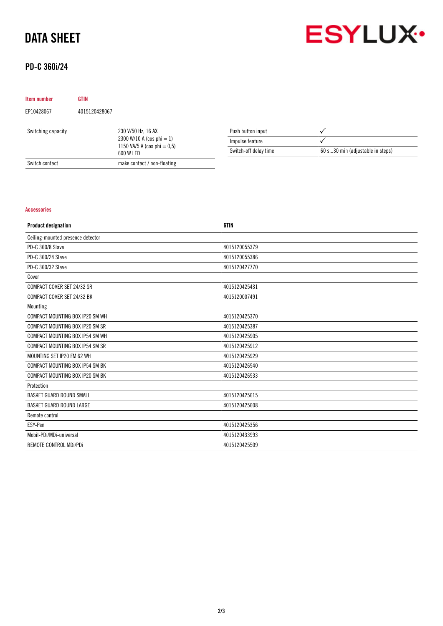# DATA SHEET



# PD-C 360i/24

| <b>Item number</b> | <b>GTIN</b>   |                                                                                                |                       |                                  |
|--------------------|---------------|------------------------------------------------------------------------------------------------|-----------------------|----------------------------------|
| EP10428067         | 4015120428067 |                                                                                                |                       |                                  |
| Switching capacity |               | 230 V/50 Hz, 16 AX<br>2300 W/10 A (cos phi = 1)<br>1150 VA/5 A (cos phi = $0,5$ )<br>600 W LED | Push button input     |                                  |
|                    |               |                                                                                                | Impulse feature       |                                  |
|                    |               |                                                                                                | Switch-off delay time | 60 s30 min (adjustable in steps) |
| Switch contact     |               | make contact / non-floating                                                                    |                       |                                  |

# Accessories

| <b>Product designation</b>        | <b>GTIN</b>   |
|-----------------------------------|---------------|
| Ceiling-mounted presence detector |               |
| PD-C 360/8 Slave                  | 4015120055379 |
| PD-C 360/24 Slave                 | 4015120055386 |
| PD-C 360/32 Slave                 | 4015120427770 |
| Cover                             |               |
| COMPACT COVER SET 24/32 SR        | 4015120425431 |
| COMPACT COVER SET 24/32 BK        | 4015120007491 |
| Mounting                          |               |
| COMPACT MOUNTING BOX IP20 SM WH   | 4015120425370 |
| COMPACT MOUNTING BOX IP20 SM SR   | 4015120425387 |
| COMPACT MOUNTING BOX IP54 SM WH   | 4015120425905 |
| COMPACT MOUNTING BOX IP54 SM SR   | 4015120425912 |
| MOUNTING SET IP20 FM 62 WH        | 4015120425929 |
| COMPACT MOUNTING BOX IP54 SM BK   | 4015120426940 |
| COMPACT MOUNTING BOX IP20 SM BK   | 4015120426933 |
| Protection                        |               |
| BASKET GUARD ROUND SMALL          | 4015120425615 |
| <b>BASKET GUARD ROUND LARGE</b>   | 4015120425608 |
| Remote control                    |               |
| ESY-Pen                           | 4015120425356 |
| Mobil-PDi/MDi-universal           | 4015120433993 |
| REMOTE CONTROL MDi/PDi            | 4015120425509 |